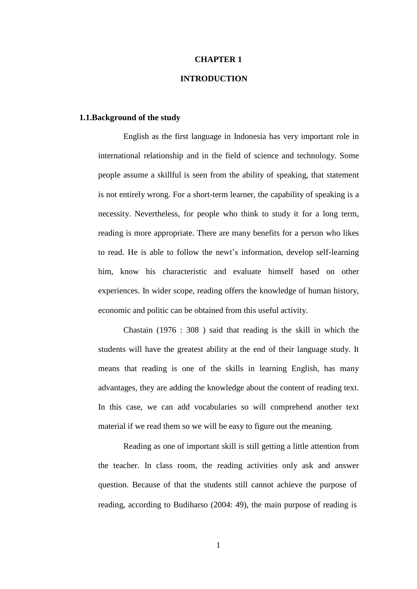# **CHAPTER 1**

## **INTRODUCTION**

# **1.1.Background of the study**

English as the first language in Indonesia has very important role in international relationship and in the field of science and technology. Some people assume a skillful is seen from the ability of speaking, that statement is not entirely wrong. For a short-term learner, the capability of speaking is a necessity. Nevertheless, for people who think to study it for a long term, reading is more appropriate. There are many benefits for a person who likes to read. He is able to follow the newt's information, develop self-learning him, know his characteristic and evaluate himself based on other experiences. In wider scope, reading offers the knowledge of human history, economic and politic can be obtained from this useful activity.

Chastain (1976 : 308 ) said that reading is the skill in which the students will have the greatest ability at the end of their language study. It means that reading is one of the skills in learning English, has many advantages, they are adding the knowledge about the content of reading text. In this case, we can add vocabularies so will comprehend another text material if we read them so we will be easy to figure out the meaning.

Reading as one of important skill is still getting a little attention from the teacher. In class room, the reading activities only ask and answer question. Because of that the students still cannot achieve the purpose of reading, according to Budiharso (2004: 49), the main purpose of reading is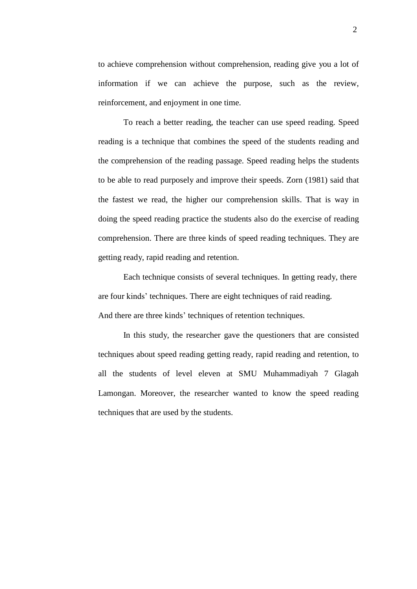to achieve comprehension without comprehension, reading give you a lot of information if we can achieve the purpose, such as the review, reinforcement, and enjoyment in one time.

To reach a better reading, the teacher can use speed reading. Speed reading is a technique that combines the speed of the students reading and the comprehension of the reading passage. Speed reading helps the students to be able to read purposely and improve their speeds. Zorn (1981) said that the fastest we read, the higher our comprehension skills. That is way in doing the speed reading practice the students also do the exercise of reading comprehension. There are three kinds of speed reading techniques. They are getting ready, rapid reading and retention.

Each technique consists of several techniques. In getting ready, there are four kinds' techniques. There are eight techniques of raid reading. And there are three kinds' techniques of retention techniques.

In this study, the researcher gave the questioners that are consisted techniques about speed reading getting ready, rapid reading and retention, to all the students of level eleven at SMU Muhammadiyah 7 Glagah Lamongan. Moreover, the researcher wanted to know the speed reading techniques that are used by the students.